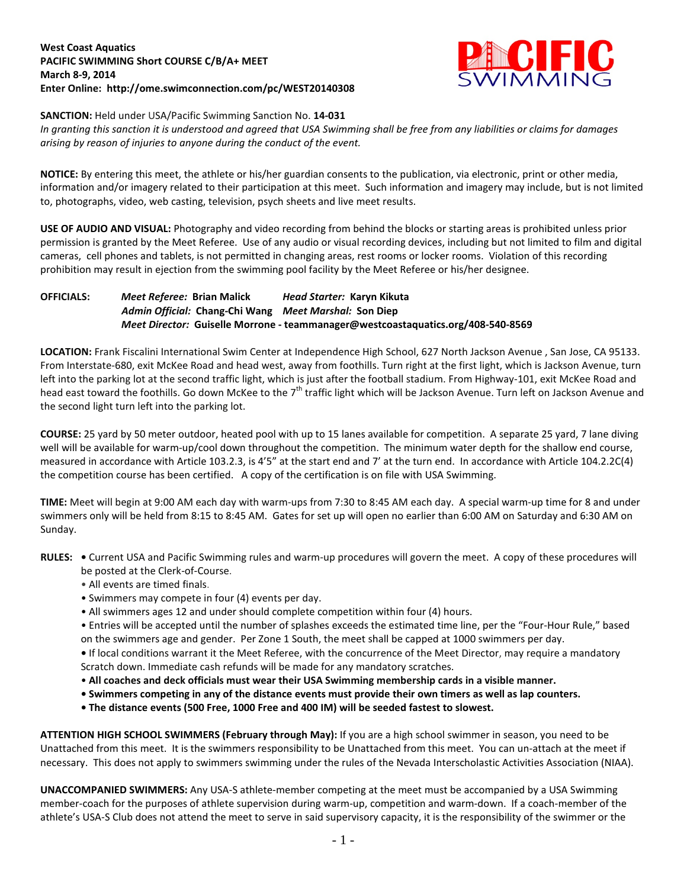## **West Coast Aquatics PACIFIC SWIMMING Short COURSE C/B/A+ MEET March 8-9, 2014 Enter Online: http://ome.swimconnection.com/pc/WEST20140308**



## **SANCTION:** Held under USA/Pacific Swimming Sanction No. **14-031**

*In granting this sanction it is understood and agreed that USA Swimming shall be free from any liabilities or claims for damages arising by reason of injuries to anyone during the conduct of the event.*

**NOTICE:** By entering this meet, the athlete or his/her guardian consents to the publication, via electronic, print or other media, information and/or imagery related to their participation at this meet. Such information and imagery may include, but is not limited to, photographs, video, web casting, television, psych sheets and live meet results.

**USE OF AUDIO AND VISUAL:** Photography and video recording from behind the blocks or starting areas is prohibited unless prior permission is granted by the Meet Referee. Use of any audio or visual recording devices, including but not limited to film and digital cameras, cell phones and tablets, is not permitted in changing areas, rest rooms or locker rooms. Violation of this recording prohibition may result in ejection from the swimming pool facility by the Meet Referee or his/her designee.

**OFFICIALS:** *Meet Referee:* **Brian Malick** *Head Starter:* **Karyn Kikuta** *Admin Official:* **Chang-Chi Wang** *Meet Marshal:* **Son Diep** *Meet Director:* **Guiselle Morrone - teammanager@westcoastaquatics.org/408-540-8569**

**LOCATION:** Frank Fiscalini International Swim Center at Independence High School, 627 North Jackson Avenue , San Jose, CA 95133. From Interstate-680, exit McKee Road and head west, away from foothills. Turn right at the first light, which is Jackson Avenue, turn left into the parking lot at the second traffic light, which is just after the football stadium. From Highway-101, exit McKee Road and head east toward the foothills. Go down McKee to the 7<sup>th</sup> traffic light which will be Jackson Avenue. Turn left on Jackson Avenue and the second light turn left into the parking lot.

**COURSE:** 25 yard by 50 meter outdoor, heated pool with up to 15 lanes available for competition. A separate 25 yard, 7 lane diving well will be available for warm-up/cool down throughout the competition. The minimum water depth for the shallow end course, measured in accordance with Article 103.2.3, is 4'5" at the start end and 7' at the turn end. In accordance with Article 104.2.2C(4) the competition course has been certified. A copy of the certification is on file with USA Swimming.

**TIME:** Meet will begin at 9:00 AM each day with warm-ups from 7:30 to 8:45 AM each day. A special warm-up time for 8 and under swimmers only will be held from 8:15 to 8:45 AM. Gates for set up will open no earlier than 6:00 AM on Saturday and 6:30 AM on Sunday.

- **RULES:** Current USA and Pacific Swimming rules and warm-up procedures will govern the meet. A copy of these procedures will be posted at the Clerk-of-Course.
	- All events are timed finals.
	- Swimmers may compete in four (4) events per day.
	- All swimmers ages 12 and under should complete competition within four (4) hours.

• Entries will be accepted until the number of splashes exceeds the estimated time line, per the "Four-Hour Rule," based on the swimmers age and gender. Per Zone 1 South, the meet shall be capped at 1000 swimmers per day.

**•** If local conditions warrant it the Meet Referee, with the concurrence of the Meet Director, may require a mandatory Scratch down. Immediate cash refunds will be made for any mandatory scratches.

- **All coaches and deck officials must wear their USA Swimming membership cards in a visible manner.**
- **Swimmers competing in any of the distance events must provide their own timers as well as lap counters.**
- **The distance events (500 Free, 1000 Free and 400 IM) will be seeded fastest to slowest.**

**ATTENTION HIGH SCHOOL SWIMMERS (February through May):** If you are a high school swimmer in season, you need to be Unattached from this meet. It is the swimmers responsibility to be Unattached from this meet. You can un-attach at the meet if necessary. This does not apply to swimmers swimming under the rules of the Nevada Interscholastic Activities Association (NIAA).

**UNACCOMPANIED SWIMMERS:** Any USA-S athlete-member competing at the meet must be accompanied by a USA Swimming member-coach for the purposes of athlete supervision during warm-up, competition and warm-down. If a coach-member of the athlete's USA-S Club does not attend the meet to serve in said supervisory capacity, it is the responsibility of the swimmer or the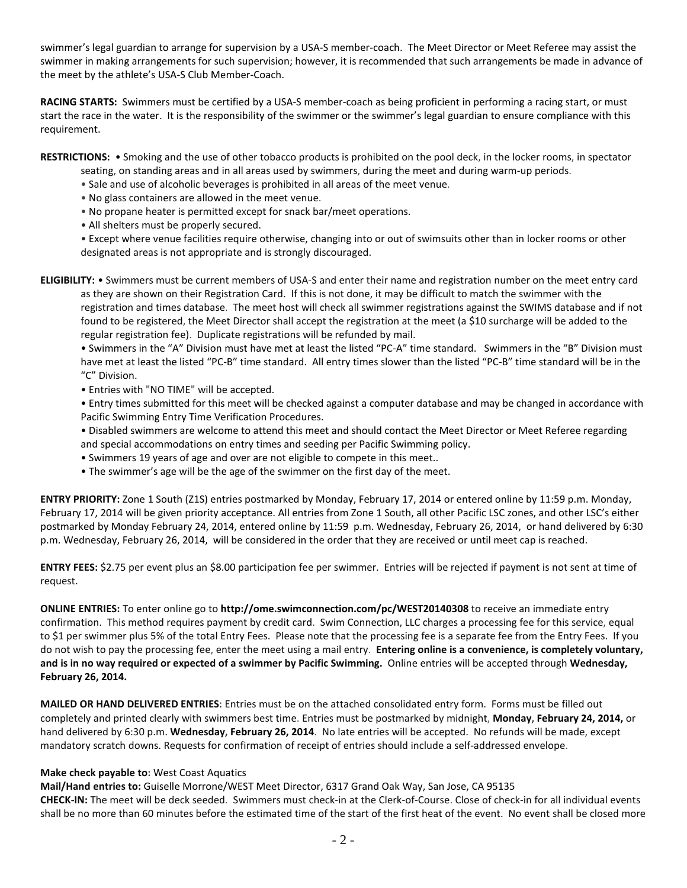swimmer's legal guardian to arrange for supervision by a USA-S member-coach. The Meet Director or Meet Referee may assist the swimmer in making arrangements for such supervision; however, it is recommended that such arrangements be made in advance of the meet by the athlete's USA-S Club Member-Coach.

**RACING STARTS:** Swimmers must be certified by a USA-S member-coach as being proficient in performing a racing start, or must start the race in the water. It is the responsibility of the swimmer or the swimmer's legal guardian to ensure compliance with this requirement.

**RESTRICTIONS:** • Smoking and the use of other tobacco products is prohibited on the pool deck, in the locker rooms, in spectator

- seating, on standing areas and in all areas used by swimmers, during the meet and during warm-up periods.
- Sale and use of alcoholic beverages is prohibited in all areas of the meet venue.
- No glass containers are allowed in the meet venue.
- No propane heater is permitted except for snack bar/meet operations.
- All shelters must be properly secured.

• Except where venue facilities require otherwise, changing into or out of swimsuits other than in locker rooms or other designated areas is not appropriate and is strongly discouraged.

**ELIGIBILITY:** • Swimmers must be current members of USA-S and enter their name and registration number on the meet entry card as they are shown on their Registration Card. If this is not done, it may be difficult to match the swimmer with the registration and times database. The meet host will check all swimmer registrations against the SWIMS database and if not found to be registered, the Meet Director shall accept the registration at the meet (a \$10 surcharge will be added to the regular registration fee). Duplicate registrations will be refunded by mail.

• Swimmers in the "A" Division must have met at least the listed "PC-A" time standard. Swimmers in the "B" Division must have met at least the listed "PC-B" time standard. All entry times slower than the listed "PC-B" time standard will be in the "C" Division.

• Entries with "NO TIME" will be accepted.

• Entry times submitted for this meet will be checked against a computer database and may be changed in accordance with Pacific Swimming Entry Time Verification Procedures.

• Disabled swimmers are welcome to attend this meet and should contact the Meet Director or Meet Referee regarding and special accommodations on entry times and seeding per Pacific Swimming policy.

- Swimmers 19 years of age and over are not eligible to compete in this meet..
- The swimmer's age will be the age of the swimmer on the first day of the meet.

**ENTRY PRIORITY:** Zone 1 South (Z1S) entries postmarked by Monday, February 17, 2014 or entered online by 11:59 p.m. Monday, February 17, 2014 will be given priority acceptance. All entries from Zone 1 South, all other Pacific LSC zones, and other LSC's either postmarked by Monday February 24, 2014, entered online by 11:59 p.m. Wednesday, February 26, 2014, or hand delivered by 6:30 p.m. Wednesday, February 26, 2014, will be considered in the order that they are received or until meet cap is reached.

**ENTRY FEES:** \$2.75 per event plus an \$8.00 participation fee per swimmer. Entries will be rejected if payment is not sent at time of request.

**ONLINE ENTRIES:** To enter online go to **http://ome.swimconnection.com/pc/WEST20140308** to receive an immediate entry confirmation. This method requires payment by credit card. Swim Connection, LLC charges a processing fee for this service, equal to \$1 per swimmer plus 5% of the total Entry Fees. Please note that the processing fee is a separate fee from the Entry Fees. If you do not wish to pay the processing fee, enter the meet using a mail entry. **Entering online is a convenience, is completely voluntary, and is in no way required or expected of a swimmer by Pacific Swimming.** Online entries will be accepted through **Wednesday, February 26, 2014.**

**MAILED OR HAND DELIVERED ENTRIES**: Entries must be on the attached consolidated entry form. Forms must be filled out completely and printed clearly with swimmers best time. Entries must be postmarked by midnight, **Monday, February 24, 2014,** or hand delivered by 6:30 p.m. **Wednesday, February 26, 2014**. No late entries will be accepted. No refunds will be made, except mandatory scratch downs. Requests for confirmation of receipt of entries should include a self-addressed envelope.

## **Make check payable to:** West Coast Aquatics

**Mail/Hand entries to:** Guiselle Morrone/WEST Meet Director, 6317 Grand Oak Way, San Jose, CA 95135 **CHECK-IN:** The meet will be deck seeded. Swimmers must check-in at the Clerk-of-Course. Close of check-in for all individual events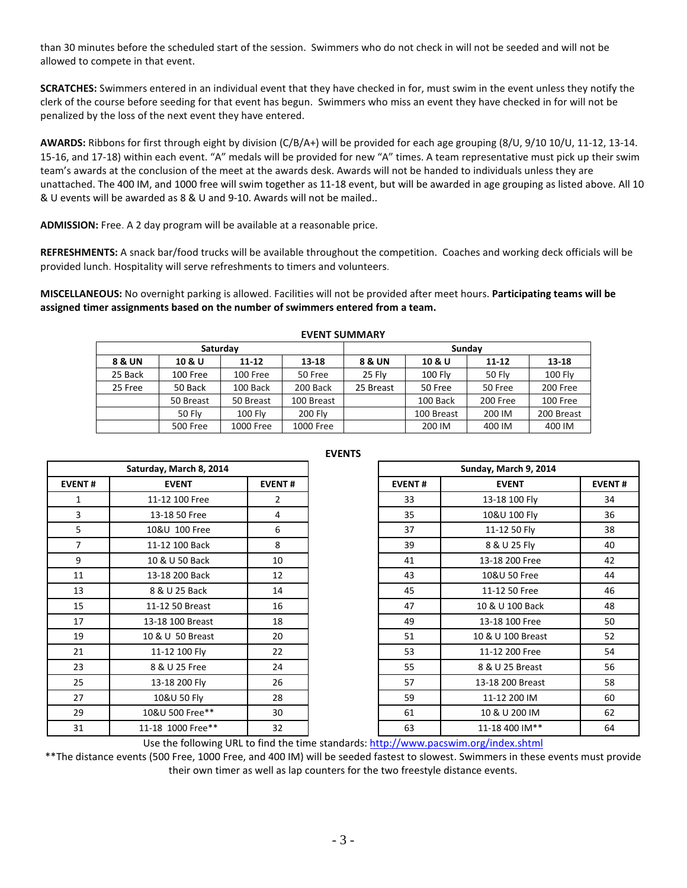than 30 minutes before the scheduled start of the session. Swimmers who do not check in will not be seeded and will not be allowed to compete in that event.

**SCRATCHES:** Swimmers entered in an individual event that they have checked in for, must swim in the event unless they notify the clerk of the course before seeding for that event has begun. Swimmers who miss an event they have checked in for will not be penalized by the loss of the next event they have entered.

**AWARDS:** Ribbons for first through eight by division (C/B/A+) will be provided for each age grouping (8/U, 9/10 10/U, 11-12, 13-14. 15-16, and 17-18) within each event. "A" medals will be provided for new "A" times. A team representative must pick up their swim team's awards at the conclusion of the meet at the awards desk. Awards will not be handed to individuals unless they are unattached. The 400 IM, and 1000 free will swim together as 11-18 event, but will be awarded in age grouping as listed above. All 10 & U events will be awarded as 8 & U and 9-10. Awards will not be mailed..

**ADMISSION:** Free. A 2 day program will be available at a reasonable price.

**REFRESHMENTS:** A snack bar/food trucks will be available throughout the competition. Coaches and working deck officials will be provided lunch. Hospitality will serve refreshments to timers and volunteers.

**MISCELLANEOUS:** No overnight parking is allowed. Facilities will not be provided after meet hours. **Participating teams will be assigned timer assignments based on the number of swimmers entered from a team.**

| L V LIV I JUIVIIVIMIN I |               |                |            |           |            |          |                |  |  |
|-------------------------|---------------|----------------|------------|-----------|------------|----------|----------------|--|--|
| Saturday                |               |                |            | Sunday    |            |          |                |  |  |
| 8 & UN                  | 10 & U        | $11 - 12$      | $13 - 18$  | 8 & UN    | 10 & U     | 11-12    | 13-18          |  |  |
| 25 Back                 | 100 Free      | 100 Free       | 50 Free    | 25 Flv    | $100$ Fly  | 50 Fly   | <b>100 Fly</b> |  |  |
| 25 Free                 | 50 Back       | 100 Back       | 200 Back   | 25 Breast | 50 Free    | 50 Free  | 200 Free       |  |  |
|                         | 50 Breast     | 50 Breast      | 100 Breast |           | 100 Back   | 200 Free | 100 Free       |  |  |
|                         | <b>50 Flv</b> | <b>100 Flv</b> | 200 Fly    |           | 100 Breast | 200 IM   | 200 Breast     |  |  |
|                         | 500 Free      | 1000 Free      | 1000 Free  |           | 200 IM     | 400 IM   | 400 IM         |  |  |

**EVENT SUMMARY** 

| Saturday, March 8, 2014<br><b>EVENT#</b><br><b>EVENT</b><br><b>EVENT#</b><br>11-12 100 Free<br>2<br>1<br>3<br>13-18 50 Free<br>4<br>5<br>10&U 100 Free<br>6<br>8<br>7<br>11-12 100 Back<br>9<br>10<br>10 & U 50 Back<br>11<br>12<br>13-18 200 Back<br>13<br>8 & U 25 Back<br>14<br>15<br>11-12 50 Breast<br>16<br>17<br>18<br>13-18 100 Breast<br>19<br>10 & U 50 Breast<br>20<br>21<br>22<br>11-12 100 Fly<br>23<br>8 & U 25 Free<br>24<br>26<br>25<br>13-18 200 Fly<br>27<br>28<br>10&U 50 Fly |                   |    |  |  |  |
|--------------------------------------------------------------------------------------------------------------------------------------------------------------------------------------------------------------------------------------------------------------------------------------------------------------------------------------------------------------------------------------------------------------------------------------------------------------------------------------------------|-------------------|----|--|--|--|
|                                                                                                                                                                                                                                                                                                                                                                                                                                                                                                  |                   |    |  |  |  |
|                                                                                                                                                                                                                                                                                                                                                                                                                                                                                                  |                   |    |  |  |  |
|                                                                                                                                                                                                                                                                                                                                                                                                                                                                                                  |                   |    |  |  |  |
|                                                                                                                                                                                                                                                                                                                                                                                                                                                                                                  |                   |    |  |  |  |
|                                                                                                                                                                                                                                                                                                                                                                                                                                                                                                  |                   |    |  |  |  |
|                                                                                                                                                                                                                                                                                                                                                                                                                                                                                                  |                   |    |  |  |  |
|                                                                                                                                                                                                                                                                                                                                                                                                                                                                                                  |                   |    |  |  |  |
|                                                                                                                                                                                                                                                                                                                                                                                                                                                                                                  |                   |    |  |  |  |
|                                                                                                                                                                                                                                                                                                                                                                                                                                                                                                  |                   |    |  |  |  |
|                                                                                                                                                                                                                                                                                                                                                                                                                                                                                                  |                   |    |  |  |  |
|                                                                                                                                                                                                                                                                                                                                                                                                                                                                                                  |                   |    |  |  |  |
|                                                                                                                                                                                                                                                                                                                                                                                                                                                                                                  |                   |    |  |  |  |
|                                                                                                                                                                                                                                                                                                                                                                                                                                                                                                  |                   |    |  |  |  |
|                                                                                                                                                                                                                                                                                                                                                                                                                                                                                                  |                   |    |  |  |  |
|                                                                                                                                                                                                                                                                                                                                                                                                                                                                                                  |                   |    |  |  |  |
| 29                                                                                                                                                                                                                                                                                                                                                                                                                                                                                               | 10&U 500 Free**   | 30 |  |  |  |
| 31                                                                                                                                                                                                                                                                                                                                                                                                                                                                                               | 11-18 1000 Free** | 32 |  |  |  |

| Saturday, March 8, 2014 |                   |               |               |                   |               |
|-------------------------|-------------------|---------------|---------------|-------------------|---------------|
| <b>EVENT#</b>           | <b>EVENT</b>      | <b>EVENT#</b> | <b>EVENT#</b> | <b>EVENT</b>      | <b>EVENT#</b> |
| 1                       | 11-12 100 Free    | $\mathbf{2}$  | 33            | 13-18 100 Fly     | 34            |
| 3                       | 13-18 50 Free     | 4             | 35            | 10&U 100 Fly      | 36            |
| 5                       | 10&U 100 Free     | 6             | 37            | 11-12 50 Fly      | 38            |
| 7                       | 11-12 100 Back    | 8             | 39            | 8 & U 25 Fly      | 40            |
| 9                       | 10 & U 50 Back    | 10            | 41            | 13-18 200 Free    | 42            |
| 11                      | 13-18 200 Back    | 12            | 43            | 10&U 50 Free      | 44            |
| 13                      | 8 & U 25 Back     | 14            | 45            | 11-12 50 Free     | 46            |
| 15                      | 11-12 50 Breast   | 16            | 47            | 10 & U 100 Back   | 48            |
| 17                      | 13-18 100 Breast  | 18            | 49            | 13-18 100 Free    | 50            |
| 19                      | 10 & U 50 Breast  | 20            | 51            | 10 & U 100 Breast | 52            |
| 21                      | 11-12 100 Fly     | 22            | 53            | 11-12 200 Free    | 54            |
| 23                      | 8 & U 25 Free     | 24            | 55            | 8 & U 25 Breast   | 56            |
| 25                      | 13-18 200 Fly     | 26            | 57            | 13-18 200 Breast  | 58            |
| 27                      | 10&U 50 Fly       | 28            | 59            | 11-12 200 IM      | 60            |
| 29                      | 10&U 500 Free**   | 30            | 61            | 10 & U 200 IM     | 62            |
| 31                      | 11-18 1000 Free** | 32            | 63            | 11-18 400 IM**    | 64            |

Use the following URL to find the time standards:<http://www.pacswim.org/index.shtml>

\*\*The distance events (500 Free, 1000 Free, and 400 IM) will be seeded fastest to slowest. Swimmers in these events must provide their own timer as well as lap counters for the two freestyle distance events.

## **EVENTS**